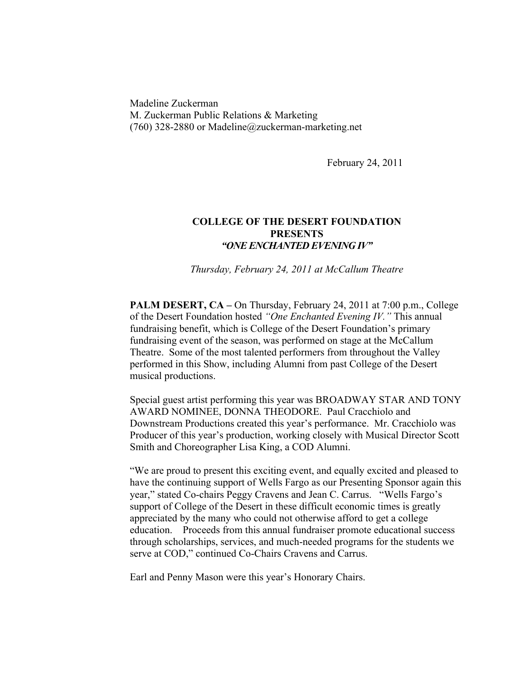Madeline Zuckerman M. Zuckerman Public Relations & Marketing (760) 328-2880 or Madeline@zuckerman-marketing.net

February 24, 2011

## **COLLEGE OF THE DESERT FOUNDATION PRESENTS** *"ONE ENCHANTED EVENING IV"*

*Thursday, February 24, 2011 at McCallum Theatre* 

**PALM DESERT, CA –** On Thursday, February 24, 2011 at 7:00 p.m., College of the Desert Foundation hosted *"One Enchanted Evening IV."* This annual fundraising benefit, which is College of the Desert Foundation's primary fundraising event of the season, was performed on stage at the McCallum Theatre. Some of the most talented performers from throughout the Valley performed in this Show, including Alumni from past College of the Desert musical productions.

Special guest artist performing this year was BROADWAY STAR AND TONY AWARD NOMINEE, DONNA THEODORE. Paul Cracchiolo and Downstream Productions created this year's performance. Mr. Cracchiolo was Producer of this year's production, working closely with Musical Director Scott Smith and Choreographer Lisa King, a COD Alumni.

"We are proud to present this exciting event, and equally excited and pleased to have the continuing support of Wells Fargo as our Presenting Sponsor again this year," stated Co-chairs Peggy Cravens and Jean C. Carrus. "Wells Fargo's support of College of the Desert in these difficult economic times is greatly appreciated by the many who could not otherwise afford to get a college education. Proceeds from this annual fundraiser promote educational success through scholarships, services, and much-needed programs for the students we serve at COD," continued Co-Chairs Cravens and Carrus.

Earl and Penny Mason were this year's Honorary Chairs.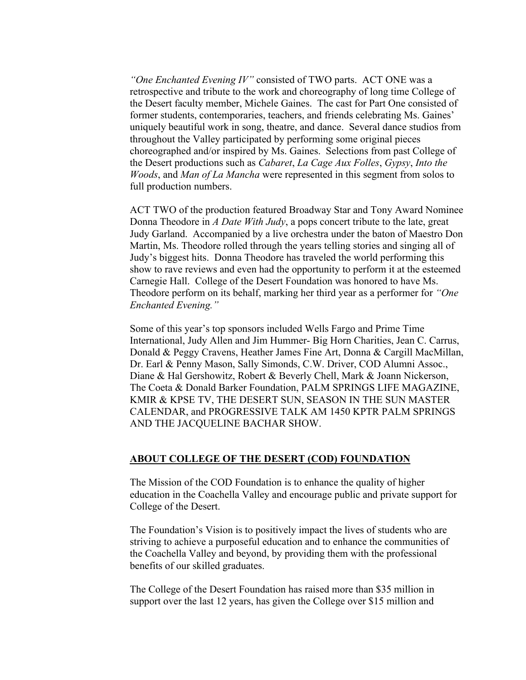*"One Enchanted Evening IV"* consisted of TWO parts. ACT ONE was a retrospective and tribute to the work and choreography of long time College of the Desert faculty member, Michele Gaines. The cast for Part One consisted of former students, contemporaries, teachers, and friends celebrating Ms. Gaines' uniquely beautiful work in song, theatre, and dance. Several dance studios from throughout the Valley participated by performing some original pieces choreographed and/or inspired by Ms. Gaines. Selections from past College of the Desert productions such as *Cabaret*, *La Cage Aux Folles*, *Gypsy*, *Into the Woods*, and *Man of La Mancha* were represented in this segment from solos to full production numbers.

ACT TWO of the production featured Broadway Star and Tony Award Nominee Donna Theodore in *A Date With Judy*, a pops concert tribute to the late, great Judy Garland. Accompanied by a live orchestra under the baton of Maestro Don Martin, Ms. Theodore rolled through the years telling stories and singing all of Judy's biggest hits. Donna Theodore has traveled the world performing this show to rave reviews and even had the opportunity to perform it at the esteemed Carnegie Hall. College of the Desert Foundation was honored to have Ms. Theodore perform on its behalf, marking her third year as a performer for *"One Enchanted Evening."*

Some of this year's top sponsors included Wells Fargo and Prime Time International, Judy Allen and Jim Hummer- Big Horn Charities, Jean C. Carrus, Donald & Peggy Cravens, Heather James Fine Art, Donna & Cargill MacMillan, Dr. Earl & Penny Mason, Sally Simonds, C.W. Driver, COD Alumni Assoc., Diane & Hal Gershowitz, Robert & Beverly Chell, Mark & Joann Nickerson, The Coeta & Donald Barker Foundation, PALM SPRINGS LIFE MAGAZINE, KMIR & KPSE TV, THE DESERT SUN, SEASON IN THE SUN MASTER CALENDAR, and PROGRESSIVE TALK AM 1450 KPTR PALM SPRINGS AND THE JACQUELINE BACHAR SHOW.

## **ABOUT COLLEGE OF THE DESERT (COD) FOUNDATION**

The Mission of the COD Foundation is to enhance the quality of higher education in the Coachella Valley and encourage public and private support for College of the Desert.

The Foundation's Vision is to positively impact the lives of students who are striving to achieve a purposeful education and to enhance the communities of the Coachella Valley and beyond, by providing them with the professional benefits of our skilled graduates.

The College of the Desert Foundation has raised more than \$35 million in support over the last 12 years, has given the College over \$15 million and